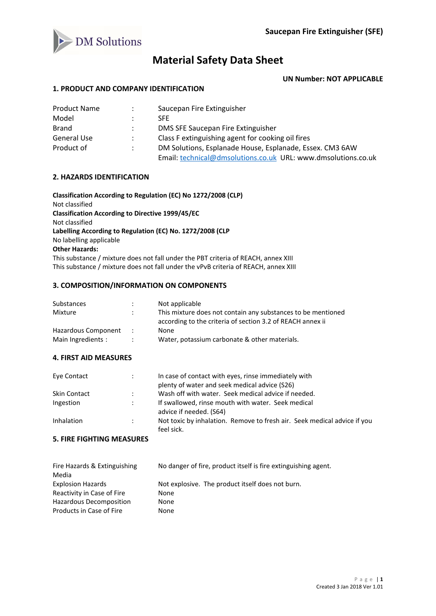

# **Material Safety Data Sheet**

**UN Number: NOT APPLICABLE**

## **1. PRODUCT AND COMPANY IDENTIFICATION**

| <b>Product Name</b> | $\ddot{\phantom{0}}$ | Saucepan Fire Extinguisher                                    |
|---------------------|----------------------|---------------------------------------------------------------|
| Model               | ٠                    | <b>SFF</b>                                                    |
| Brand               |                      | DMS SFE Saucepan Fire Extinguisher                            |
| <b>General Use</b>  | $\ddot{\phantom{0}}$ | Class F extinguishing agent for cooking oil fires             |
| Product of          | ÷                    | DM Solutions, Esplanade House, Esplanade, Essex. CM3 6AW      |
|                     |                      | Email: technical@dmsolutions.co.uk URL: www.dmsolutions.co.uk |

#### **2. HAZARDS IDENTIFICATION**

**Classification According to Regulation (EC) No 1272/2008 (CLP)** Not classified **Classification According to Directive 1999/45/EC** Not classified **Labelling According to Regulation (EC) No. 1272/2008 (CLP** No labelling applicable **Other Hazards:** This substance / mixture does not fall under the PBT criteria of REACH, annex XIII This substance / mixture does not fall under the vPvB criteria of REACH, annex XIII

### **3. COMPOSITION/INFORMATION ON COMPONENTS**

| Substances          |    | Not applicable                                               |
|---------------------|----|--------------------------------------------------------------|
| Mixture             | ٠. | This mixture does not contain any substances to be mentioned |
|                     |    | according to the criteria of section 3.2 of REACH annex ii   |
| Hazardous Component |    | None                                                         |
| Main Ingredients :  |    | Water, potassium carbonate & other materials.                |

#### **4. FIRST AID MEASURES**

| Eye Contact         |               | In case of contact with eyes, rinse immediately with<br>plenty of water and seek medical advice (S26) |
|---------------------|---------------|-------------------------------------------------------------------------------------------------------|
| <b>Skin Contact</b> | $\mathcal{L}$ | Wash off with water. Seek medical advice if needed.                                                   |
| Ingestion           | $\mathcal{L}$ | If swallowed, rinse mouth with water. Seek medical<br>advice if needed. (S64)                         |
| Inhalation          | $\mathcal{L}$ | Not toxic by inhalation. Remove to fresh air. Seek medical advice if you<br>feel sick.                |

# **5. FIRE FIGHTING MEASURES**

| Fire Hazards & Extinguishing | No danger of fire, product itself is fire extinguishing agent. |
|------------------------------|----------------------------------------------------------------|
| Media                        |                                                                |
| <b>Explosion Hazards</b>     | Not explosive. The product itself does not burn.               |
| Reactivity in Case of Fire   | None                                                           |
| Hazardous Decomposition      | None                                                           |
| Products in Case of Fire     | None                                                           |
|                              |                                                                |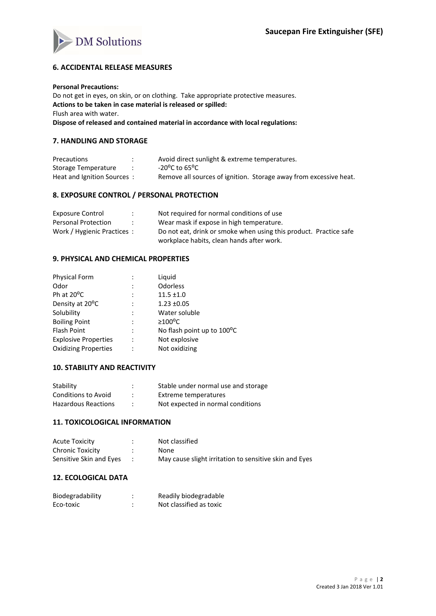

# **6. ACCIDENTAL RELEASE MEASURES**

#### **Personal Precautions:**

Do not get in eyes, on skin, or on clothing. Take appropriate protective measures. **Actions to be taken in case material is released or spilled:** Flush area with water. **Dispose of released and contained material in accordance with local regulations:**

#### **7. HANDLING AND STORAGE**

| Precautions                | Avoid direct sunlight & extreme temperatures.                     |
|----------------------------|-------------------------------------------------------------------|
| Storage Temperature        | -20°C to 65°C                                                     |
| Heat and Ignition Sources: | Remove all sources of ignition. Storage away from excessive heat. |

#### **8. EXPOSURE CONTROL / PERSONAL PROTECTION**

| Exposure Control            | Not required for normal conditions of use                         |
|-----------------------------|-------------------------------------------------------------------|
| Personal Protection         | Wear mask if expose in high temperature.                          |
| Work / Hygienic Practices : | Do not eat, drink or smoke when using this product. Practice safe |
|                             | workplace habits, clean hands after work.                         |

## **9. PHYSICAL AND CHEMICAL PROPERTIES**

| Physical Form               |                | Liquid                     |
|-----------------------------|----------------|----------------------------|
| Odor                        | $\ddot{\cdot}$ | Odorless                   |
| Ph at 20°C                  |                | $11.5 \pm 1.0$             |
| Density at 20°C             |                | $1.23 \pm 0.05$            |
| Solubility                  |                | Water soluble              |
| <b>Boiling Point</b>        | $\ddot{\cdot}$ | $\geq 100^{\circ}$ C       |
| <b>Flash Point</b>          |                | No flash point up to 100°C |
| <b>Explosive Properties</b> | $\cdot$        | Not explosive              |
| <b>Oxidizing Properties</b> |                | Not oxidizing              |
|                             |                |                            |

#### **10. STABILITY AND REACTIVITY**

| Stability                  | Stable under normal use and storage |
|----------------------------|-------------------------------------|
| <b>Conditions to Avoid</b> | Extreme temperatures                |
| <b>Hazardous Reactions</b> | Not expected in normal conditions   |

## **11. TOXICOLOGICAL INFORMATION**

| <b>Acute Toxicity</b>   | Not classified                                         |
|-------------------------|--------------------------------------------------------|
| Chronic Toxicity        | None                                                   |
| Sensitive Skin and Eyes | May cause slight irritation to sensitive skin and Eyes |

# **12. ECOLOGICAL DATA**

| Biodegradability | Readily biodegradable   |
|------------------|-------------------------|
| Eco-toxic        | Not classified as toxic |